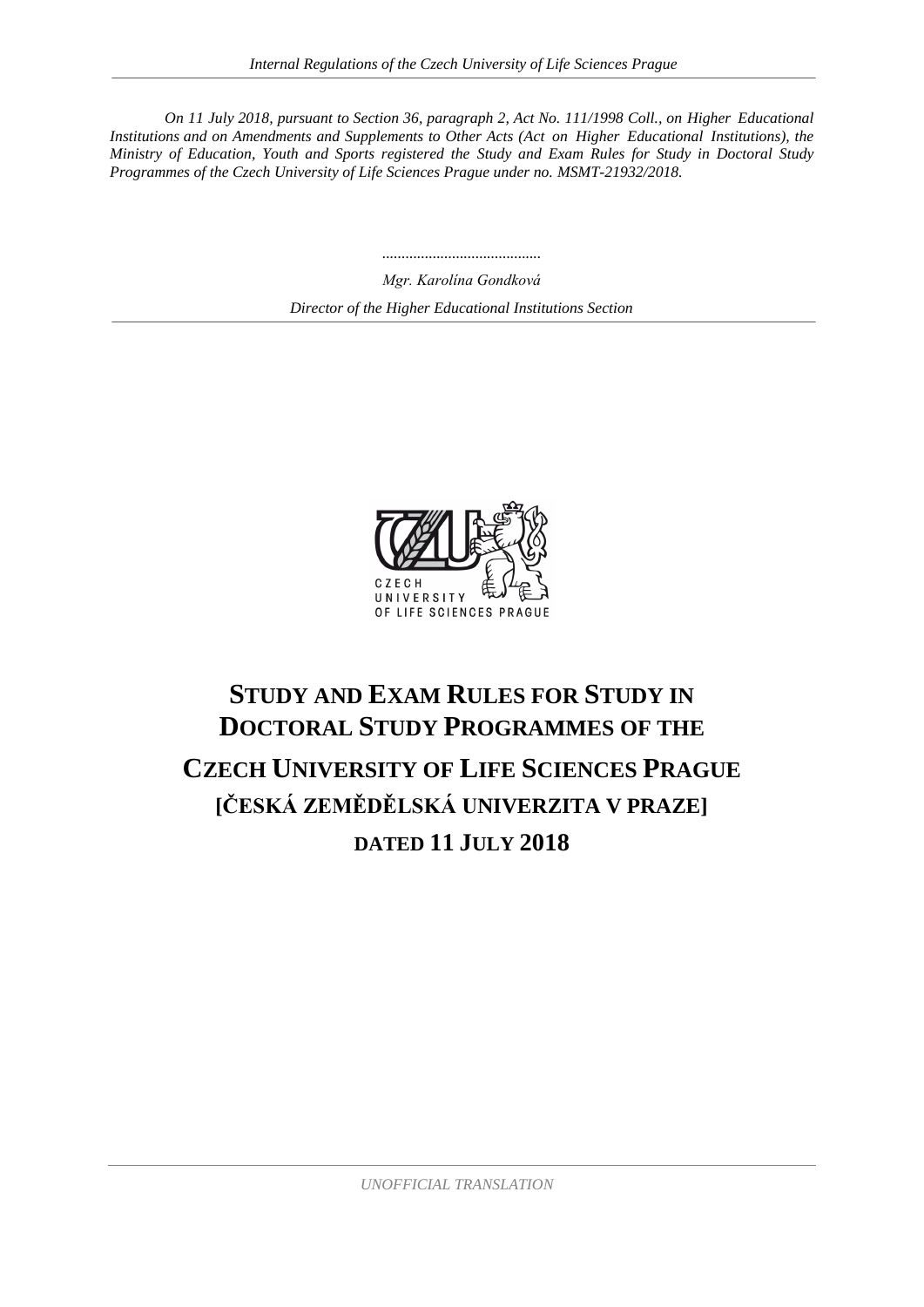*On 11 July 2018, pursuant to Section 36, paragraph 2, Act No. 111/1998 Coll., on Higher Educational Institutions and on Amendments and Supplements to Other Acts (Act on Higher Educational Institutions), the Ministry of Education, Youth and Sports registered the Study and Exam Rules for Study in Doctoral Study Programmes of the Czech University of Life Sciences Prague under no. MSMT-21932/2018.*

> *Mgr. Karolína Gondková Director of the Higher Educational Institutions Section*

*.........................................*



# **STUDY AND EXAM RULES FOR STUDY IN DOCTORAL STUDY PROGRAMMES OF THE CZECH UNIVERSITY OF LIFE SCIENCES PRAGUE [ČESKÁ ZEMĚDĚLSKÁ UNIVERZITA V PRAZE] DATED 11 JULY 2018**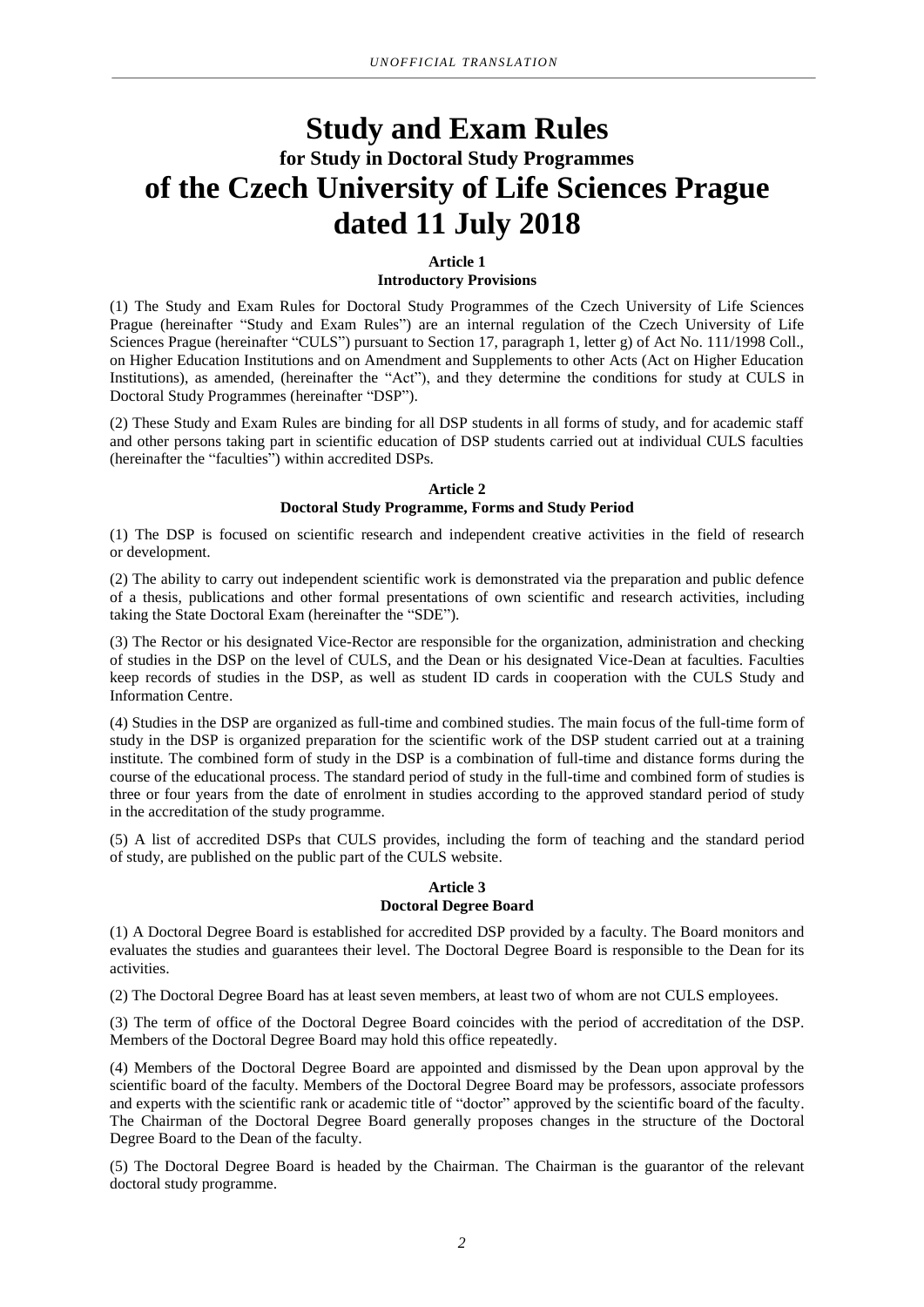## **Study and Exam Rules for Study in Doctoral Study Programmes of the Czech University of Life Sciences Prague dated 11 July 2018**

#### **Article 1 Introductory Provisions**

(1) The Study and Exam Rules for Doctoral Study Programmes of the Czech University of Life Sciences Prague (hereinafter "Study and Exam Rules") are an internal regulation of the Czech University of Life Sciences Prague (hereinafter "CULS") pursuant to Section 17, paragraph 1, letter g) of Act No. 111/1998 Coll., on Higher Education Institutions and on Amendment and Supplements to other Acts (Act on Higher Education Institutions), as amended, (hereinafter the "Act"), and they determine the conditions for study at CULS in Doctoral Study Programmes (hereinafter "DSP").

(2) These Study and Exam Rules are binding for all DSP students in all forms of study, and for academic staff and other persons taking part in scientific education of DSP students carried out at individual CULS faculties (hereinafter the "faculties") within accredited DSPs.

#### **Article 2 Doctoral Study Programme, Forms and Study Period**

(1) The DSP is focused on scientific research and independent creative activities in the field of research or development.

(2) The ability to carry out independent scientific work is demonstrated via the preparation and public defence of a thesis, publications and other formal presentations of own scientific and research activities, including taking the State Doctoral Exam (hereinafter the "SDE").

(3) The Rector or his designated Vice-Rector are responsible for the organization, administration and checking of studies in the DSP on the level of CULS, and the Dean or his designated Vice-Dean at faculties. Faculties keep records of studies in the DSP, as well as student ID cards in cooperation with the CULS Study and Information Centre.

(4) Studies in the DSP are organized as full-time and combined studies. The main focus of the full-time form of study in the DSP is organized preparation for the scientific work of the DSP student carried out at a training institute. The combined form of study in the DSP is a combination of full-time and distance forms during the course of the educational process. The standard period of study in the full-time and combined form of studies is three or four years from the date of enrolment in studies according to the approved standard period of study in the accreditation of the study programme.

(5) A list of accredited DSPs that CULS provides, including the form of teaching and the standard period of study, are published on the public part of the CULS website.

#### **Article 3 Doctoral Degree Board**

(1) A Doctoral Degree Board is established for accredited DSP provided by a faculty. The Board monitors and evaluates the studies and guarantees their level. The Doctoral Degree Board is responsible to the Dean for its activities.

(2) The Doctoral Degree Board has at least seven members, at least two of whom are not CULS employees.

(3) The term of office of the Doctoral Degree Board coincides with the period of accreditation of the DSP. Members of the Doctoral Degree Board may hold this office repeatedly.

(4) Members of the Doctoral Degree Board are appointed and dismissed by the Dean upon approval by the scientific board of the faculty. Members of the Doctoral Degree Board may be professors, associate professors and experts with the scientific rank or academic title of "doctor" approved by the scientific board of the faculty. The Chairman of the Doctoral Degree Board generally proposes changes in the structure of the Doctoral Degree Board to the Dean of the faculty.

(5) The Doctoral Degree Board is headed by the Chairman. The Chairman is the guarantor of the relevant doctoral study programme.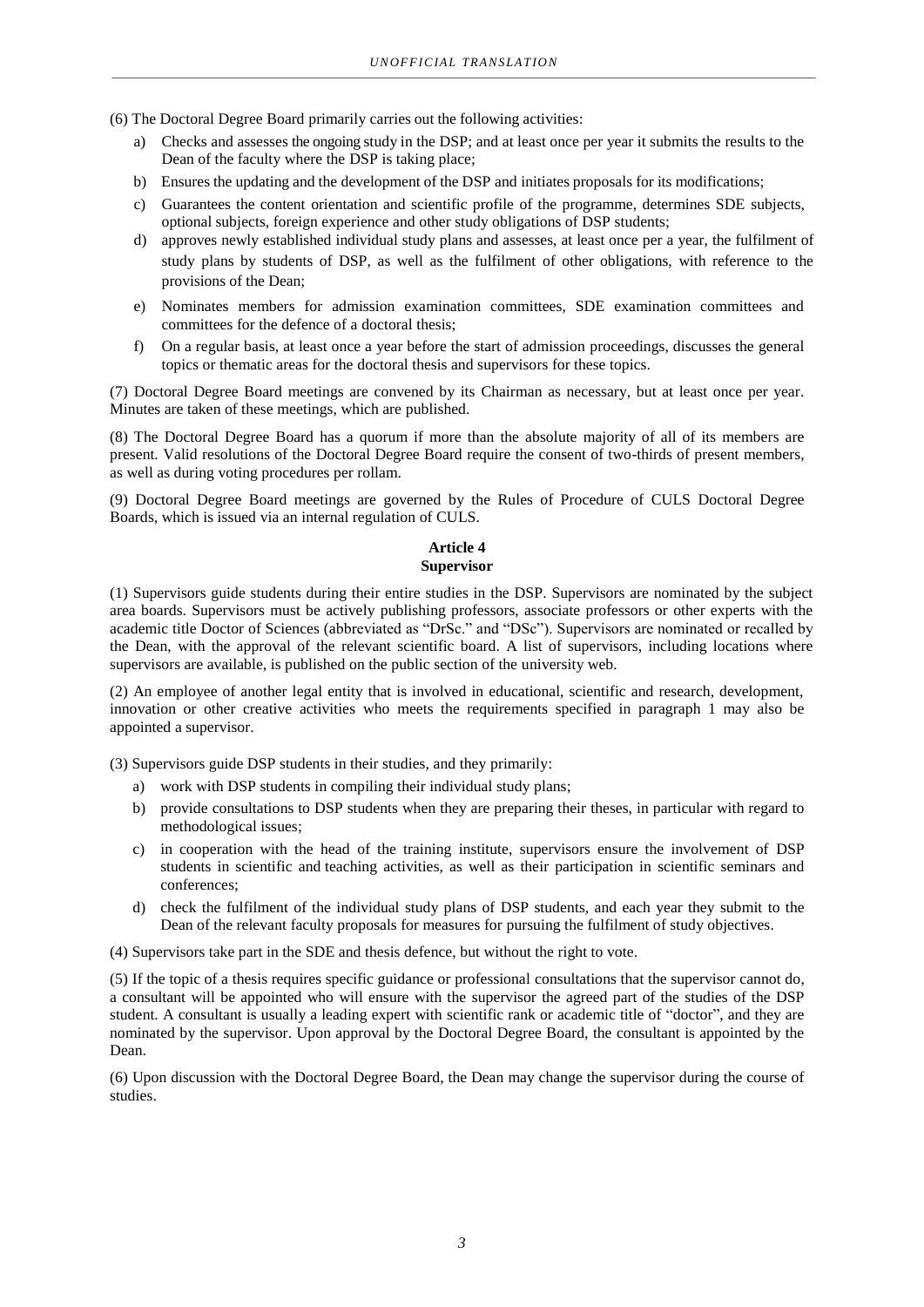(6) The Doctoral Degree Board primarily carries out the following activities:

- a) Checks and assesses the ongoing study in the DSP; and at least once per year it submits the results to the Dean of the faculty where the DSP is taking place;
- b) Ensures the updating and the development of the DSP and initiates proposals for its modifications;
- c) Guarantees the content orientation and scientific profile of the programme, determines SDE subjects, optional subjects, foreign experience and other study obligations of DSP students;
- d) approves newly established individual study plans and assesses, at least once per a year, the fulfilment of study plans by students of DSP, as well as the fulfilment of other obligations, with reference to the provisions of the Dean;
- e) Nominates members for admission examination committees, SDE examination committees and committees for the defence of a doctoral thesis;
- f) On a regular basis, at least once a year before the start of admission proceedings, discusses the general topics or thematic areas for the doctoral thesis and supervisors for these topics.

(7) Doctoral Degree Board meetings are convened by its Chairman as necessary, but at least once per year. Minutes are taken of these meetings, which are published.

(8) The Doctoral Degree Board has a quorum if more than the absolute majority of all of its members are present. Valid resolutions of the Doctoral Degree Board require the consent of two-thirds of present members, as well as during voting procedures per rollam.

(9) Doctoral Degree Board meetings are governed by the Rules of Procedure of CULS Doctoral Degree Boards, which is issued via an internal regulation of CULS.

## **Article 4 Supervisor**

(1) Supervisors guide students during their entire studies in the DSP. Supervisors are nominated by the subject area boards. Supervisors must be actively publishing professors, associate professors or other experts with the academic title Doctor of Sciences (abbreviated as "DrSc." and "DSc"). Supervisors are nominated or recalled by the Dean, with the approval of the relevant scientific board. A list of supervisors, including locations where supervisors are available, is published on the public section of the university web.

(2) An employee of another legal entity that is involved in educational, scientific and research, development, innovation or other creative activities who meets the requirements specified in paragraph 1 may also be appointed a supervisor.

(3) Supervisors guide DSP students in their studies, and they primarily:

- a) work with DSP students in compiling their individual study plans;
- b) provide consultations to DSP students when they are preparing their theses, in particular with regard to methodological issues;
- c) in cooperation with the head of the training institute, supervisors ensure the involvement of DSP students in scientific and teaching activities, as well as their participation in scientific seminars and conferences;
- d) check the fulfilment of the individual study plans of DSP students, and each year they submit to the Dean of the relevant faculty proposals for measures for pursuing the fulfilment of study objectives.

(4) Supervisors take part in the SDE and thesis defence, but without the right to vote.

(5) If the topic of a thesis requires specific guidance or professional consultations that the supervisor cannot do, a consultant will be appointed who will ensure with the supervisor the agreed part of the studies of the DSP student. A consultant is usually a leading expert with scientific rank or academic title of "doctor", and they are nominated by the supervisor. Upon approval by the Doctoral Degree Board, the consultant is appointed by the Dean.

(6) Upon discussion with the Doctoral Degree Board, the Dean may change the supervisor during the course of studies.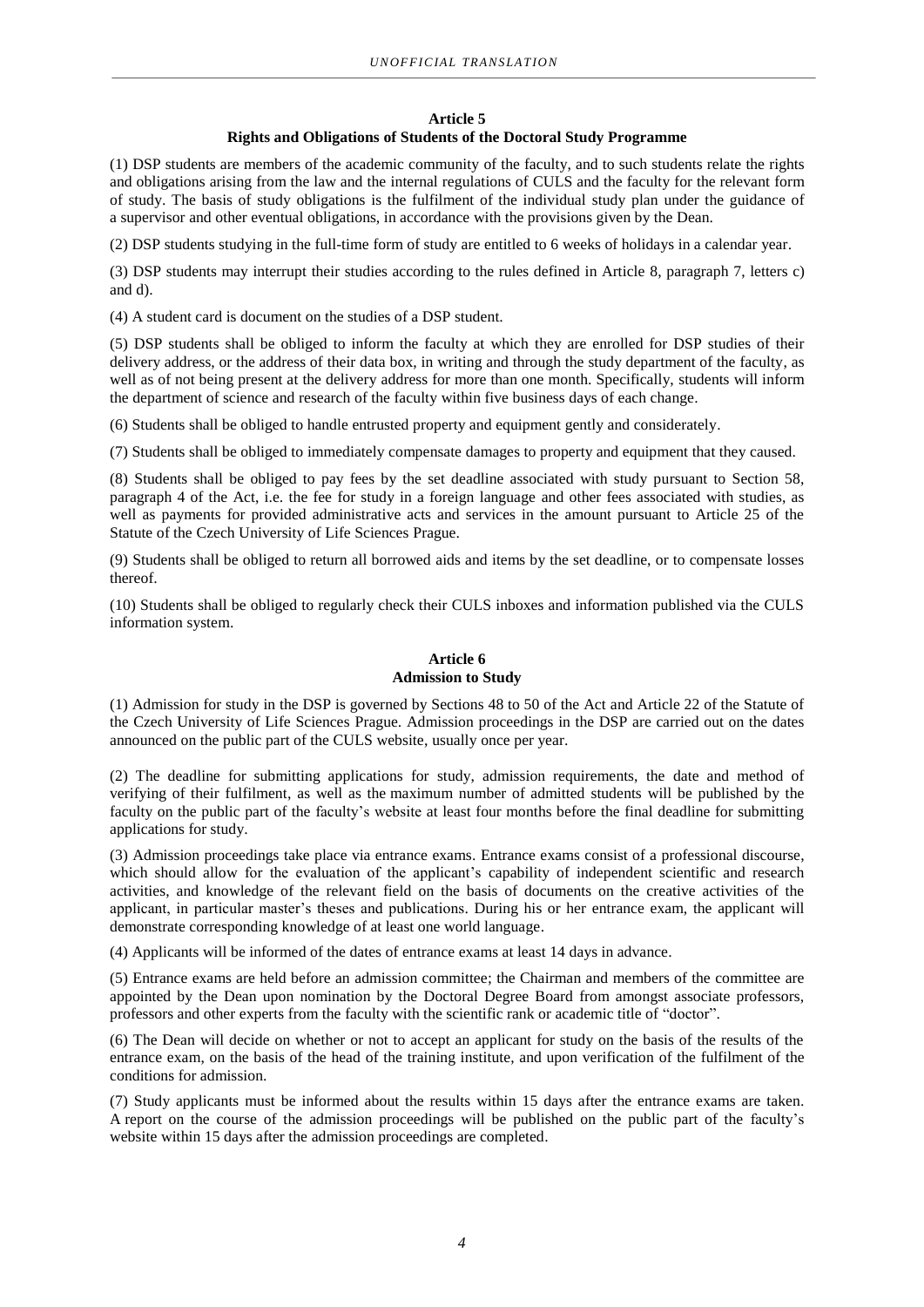#### **Article 5**

## **Rights and Obligations of Students of the Doctoral Study Programme**

(1) DSP students are members of the academic community of the faculty, and to such students relate the rights and obligations arising from the law and the internal regulations of CULS and the faculty for the relevant form of study. The basis of study obligations is the fulfilment of the individual study plan under the guidance of a supervisor and other eventual obligations, in accordance with the provisions given by the Dean.

(2) DSP students studying in the full-time form of study are entitled to 6 weeks of holidays in a calendar year.

(3) DSP students may interrupt their studies according to the rules defined in Article 8, paragraph 7, letters c) and d).

(4) A student card is document on the studies of a DSP student.

(5) DSP students shall be obliged to inform the faculty at which they are enrolled for DSP studies of their delivery address, or the address of their data box, in writing and through the study department of the faculty, as well as of not being present at the delivery address for more than one month. Specifically, students will inform the department of science and research of the faculty within five business days of each change.

(6) Students shall be obliged to handle entrusted property and equipment gently and considerately.

(7) Students shall be obliged to immediately compensate damages to property and equipment that they caused.

(8) Students shall be obliged to pay fees by the set deadline associated with study pursuant to Section 58, paragraph 4 of the Act, i.e. the fee for study in a foreign language and other fees associated with studies, as well as payments for provided administrative acts and services in the amount pursuant to Article 25 of the Statute of the Czech University of Life Sciences Prague.

(9) Students shall be obliged to return all borrowed aids and items by the set deadline, or to compensate losses thereof.

(10) Students shall be obliged to regularly check their CULS inboxes and information published via the CULS information system.

## **Article 6 Admission to Study**

(1) Admission for study in the DSP is governed by Sections 48 to 50 of the Act and Article 22 of the Statute of the Czech University of Life Sciences Prague. Admission proceedings in the DSP are carried out on the dates announced on the public part of the CULS website, usually once per year.

(2) The deadline for submitting applications for study, admission requirements, the date and method of verifying of their fulfilment, as well as the maximum number of admitted students will be published by the faculty on the public part of the faculty's website at least four months before the final deadline for submitting applications for study.

(3) Admission proceedings take place via entrance exams. Entrance exams consist of a professional discourse, which should allow for the evaluation of the applicant's capability of independent scientific and research activities, and knowledge of the relevant field on the basis of documents on the creative activities of the applicant, in particular master's theses and publications. During his or her entrance exam, the applicant will demonstrate corresponding knowledge of at least one world language.

(4) Applicants will be informed of the dates of entrance exams at least 14 days in advance.

(5) Entrance exams are held before an admission committee; the Chairman and members of the committee are appointed by the Dean upon nomination by the Doctoral Degree Board from amongst associate professors, professors and other experts from the faculty with the scientific rank or academic title of "doctor".

(6) The Dean will decide on whether or not to accept an applicant for study on the basis of the results of the entrance exam, on the basis of the head of the training institute, and upon verification of the fulfilment of the conditions for admission.

(7) Study applicants must be informed about the results within 15 days after the entrance exams are taken. A report on the course of the admission proceedings will be published on the public part of the faculty's website within 15 days after the admission proceedings are completed.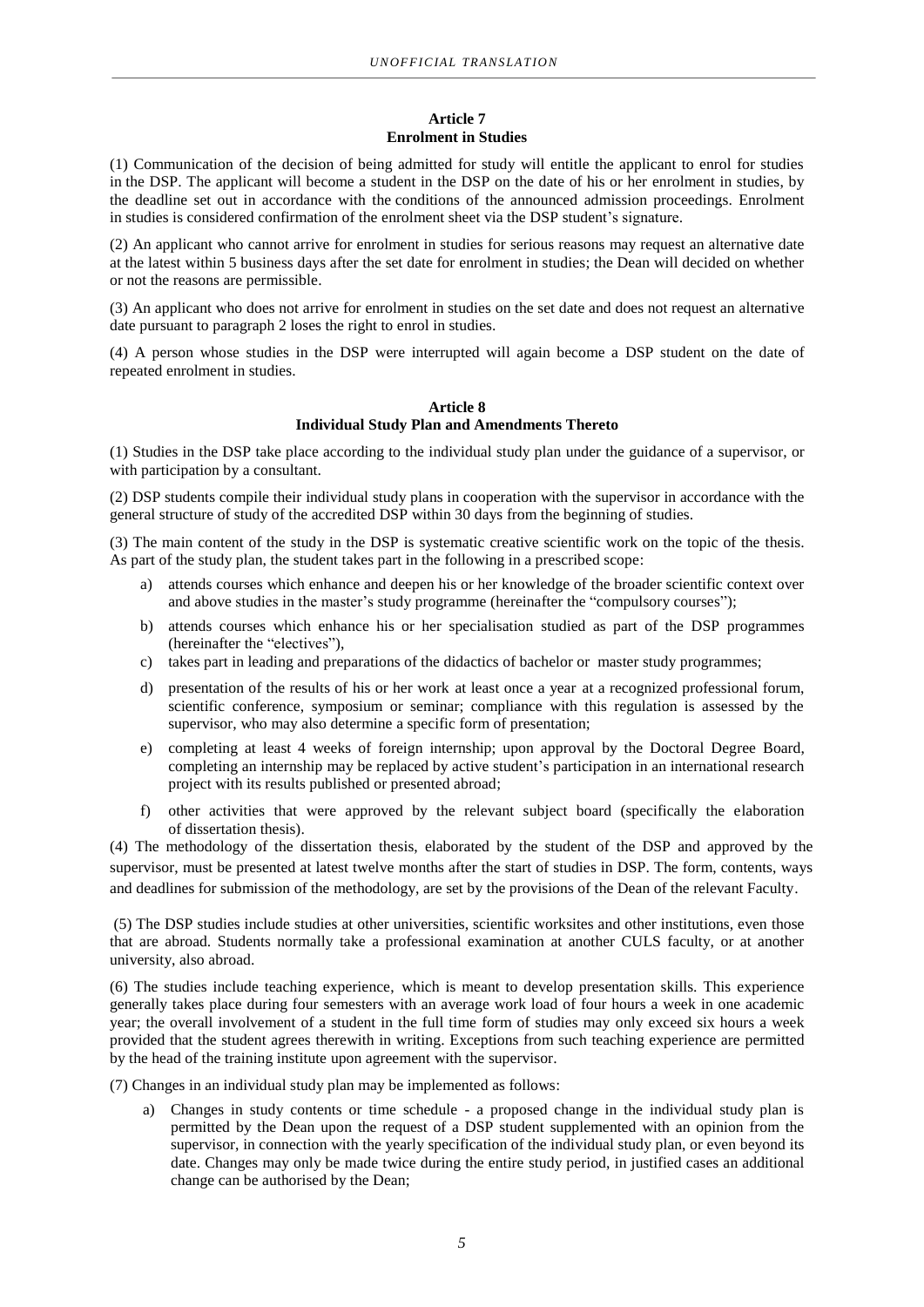#### **Article 7 Enrolment in Studies**

(1) Communication of the decision of being admitted for study will entitle the applicant to enrol for studies in the DSP. The applicant will become a student in the DSP on the date of his or her enrolment in studies, by the deadline set out in accordance with the conditions of the announced admission proceedings. Enrolment in studies is considered confirmation of the enrolment sheet via the DSP student's signature.

(2) An applicant who cannot arrive for enrolment in studies for serious reasons may request an alternative date at the latest within 5 business days after the set date for enrolment in studies; the Dean will decided on whether or not the reasons are permissible.

(3) An applicant who does not arrive for enrolment in studies on the set date and does not request an alternative date pursuant to paragraph 2 loses the right to enrol in studies.

(4) A person whose studies in the DSP were interrupted will again become a DSP student on the date of repeated enrolment in studies.

## **Article 8 Individual Study Plan and Amendments Thereto**

(1) Studies in the DSP take place according to the individual study plan under the guidance of a supervisor, or with participation by a consultant.

(2) DSP students compile their individual study plans in cooperation with the supervisor in accordance with the general structure of study of the accredited DSP within 30 days from the beginning of studies.

(3) The main content of the study in the DSP is systematic creative scientific work on the topic of the thesis. As part of the study plan, the student takes part in the following in a prescribed scope:

- a) attends courses which enhance and deepen his or her knowledge of the broader scientific context over and above studies in the master's study programme (hereinafter the "compulsory courses");
- b) attends courses which enhance his or her specialisation studied as part of the DSP programmes (hereinafter the "electives"),
- c) takes part in leading and preparations of the didactics of bachelor or master study programmes;
- d) presentation of the results of his or her work at least once a year at a recognized professional forum, scientific conference, symposium or seminar; compliance with this regulation is assessed by the supervisor, who may also determine a specific form of presentation;
- e) completing at least 4 weeks of foreign internship; upon approval by the Doctoral Degree Board, completing an internship may be replaced by active student's participation in an international research project with its results published or presented abroad;
- f) other activities that were approved by the relevant subject board (specifically the elaboration of dissertation thesis).

(4) The methodology of the dissertation thesis, elaborated by the student of the DSP and approved by the supervisor, must be presented at latest twelve months after the start of studies in DSP. The form, contents, ways and deadlines for submission of the methodology, are set by the provisions of the Dean of the relevant Faculty.

(5) The DSP studies include studies at other universities, scientific worksites and other institutions, even those that are abroad. Students normally take a professional examination at another CULS faculty, or at another university, also abroad.

(6) The studies include teaching experience, which is meant to develop presentation skills. This experience generally takes place during four semesters with an average work load of four hours a week in one academic year; the overall involvement of a student in the full time form of studies may only exceed six hours a week provided that the student agrees therewith in writing. Exceptions from such teaching experience are permitted by the head of the training institute upon agreement with the supervisor.

(7) Changes in an individual study plan may be implemented as follows:

a) Changes in study contents or time schedule - a proposed change in the individual study plan is permitted by the Dean upon the request of a DSP student supplemented with an opinion from the supervisor, in connection with the yearly specification of the individual study plan, or even beyond its date. Changes may only be made twice during the entire study period, in justified cases an additional change can be authorised by the Dean;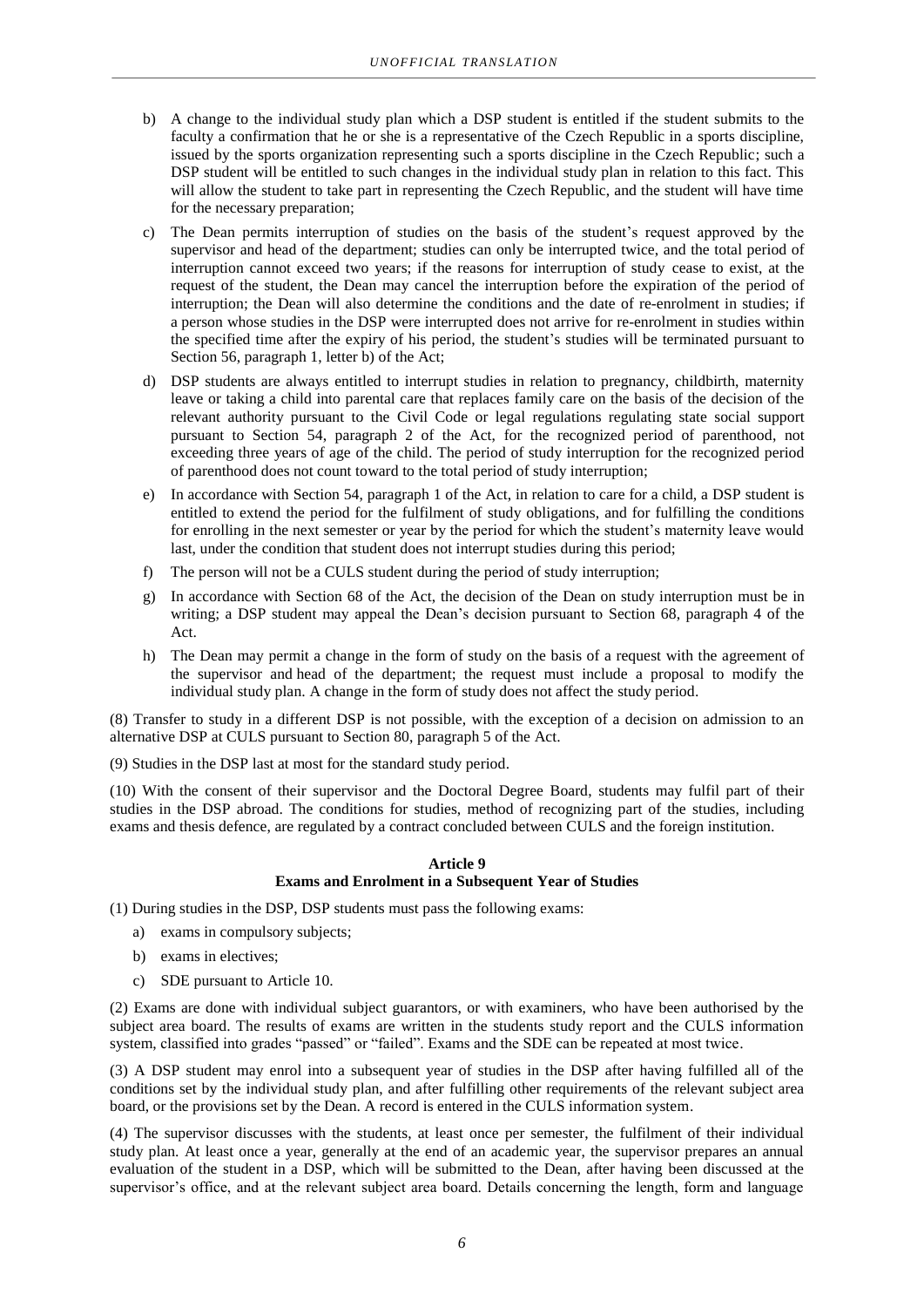- b) A change to the individual study plan which a DSP student is entitled if the student submits to the faculty a confirmation that he or she is a representative of the Czech Republic in a sports discipline, issued by the sports organization representing such a sports discipline in the Czech Republic; such a DSP student will be entitled to such changes in the individual study plan in relation to this fact. This will allow the student to take part in representing the Czech Republic, and the student will have time for the necessary preparation;
- c) The Dean permits interruption of studies on the basis of the student's request approved by the supervisor and head of the department; studies can only be interrupted twice, and the total period of interruption cannot exceed two years; if the reasons for interruption of study cease to exist, at the request of the student, the Dean may cancel the interruption before the expiration of the period of interruption; the Dean will also determine the conditions and the date of re-enrolment in studies; if a person whose studies in the DSP were interrupted does not arrive for re-enrolment in studies within the specified time after the expiry of his period, the student's studies will be terminated pursuant to Section 56, paragraph 1, letter b) of the Act;
- d) DSP students are always entitled to interrupt studies in relation to pregnancy, childbirth, maternity leave or taking a child into parental care that replaces family care on the basis of the decision of the relevant authority pursuant to the Civil Code or legal regulations regulating state social support pursuant to Section 54, paragraph 2 of the Act, for the recognized period of parenthood, not exceeding three years of age of the child. The period of study interruption for the recognized period of parenthood does not count toward to the total period of study interruption;
- e) In accordance with Section 54, paragraph 1 of the Act, in relation to care for a child, a DSP student is entitled to extend the period for the fulfilment of study obligations, and for fulfilling the conditions for enrolling in the next semester or year by the period for which the student's maternity leave would last, under the condition that student does not interrupt studies during this period;
- f) The person will not be a CULS student during the period of study interruption;
- g) In accordance with Section 68 of the Act, the decision of the Dean on study interruption must be in writing; a DSP student may appeal the Dean's decision pursuant to Section 68, paragraph 4 of the Act.
- h) The Dean may permit a change in the form of study on the basis of a request with the agreement of the supervisor and head of the department; the request must include a proposal to modify the individual study plan. A change in the form of study does not affect the study period.

(8) Transfer to study in a different DSP is not possible, with the exception of a decision on admission to an alternative DSP at CULS pursuant to Section 80, paragraph 5 of the Act.

(9) Studies in the DSP last at most for the standard study period.

(10) With the consent of their supervisor and the Doctoral Degree Board, students may fulfil part of their studies in the DSP abroad. The conditions for studies, method of recognizing part of the studies, including exams and thesis defence, are regulated by a contract concluded between CULS and the foreign institution.

#### **Article 9 Exams and Enrolment in a Subsequent Year of Studies**

(1) During studies in the DSP, DSP students must pass the following exams:

- a) exams in compulsory subjects;
- b) exams in electives;
- c) SDE pursuant to Article 10.

(2) Exams are done with individual subject guarantors, or with examiners, who have been authorised by the subject area board. The results of exams are written in the students study report and the CULS information system, classified into grades "passed" or "failed". Exams and the SDE can be repeated at most twice.

(3) A DSP student may enrol into a subsequent year of studies in the DSP after having fulfilled all of the conditions set by the individual study plan, and after fulfilling other requirements of the relevant subject area board, or the provisions set by the Dean. A record is entered in the CULS information system.

(4) The supervisor discusses with the students, at least once per semester, the fulfilment of their individual study plan. At least once a year, generally at the end of an academic year, the supervisor prepares an annual evaluation of the student in a DSP, which will be submitted to the Dean, after having been discussed at the supervisor's office, and at the relevant subject area board. Details concerning the length, form and language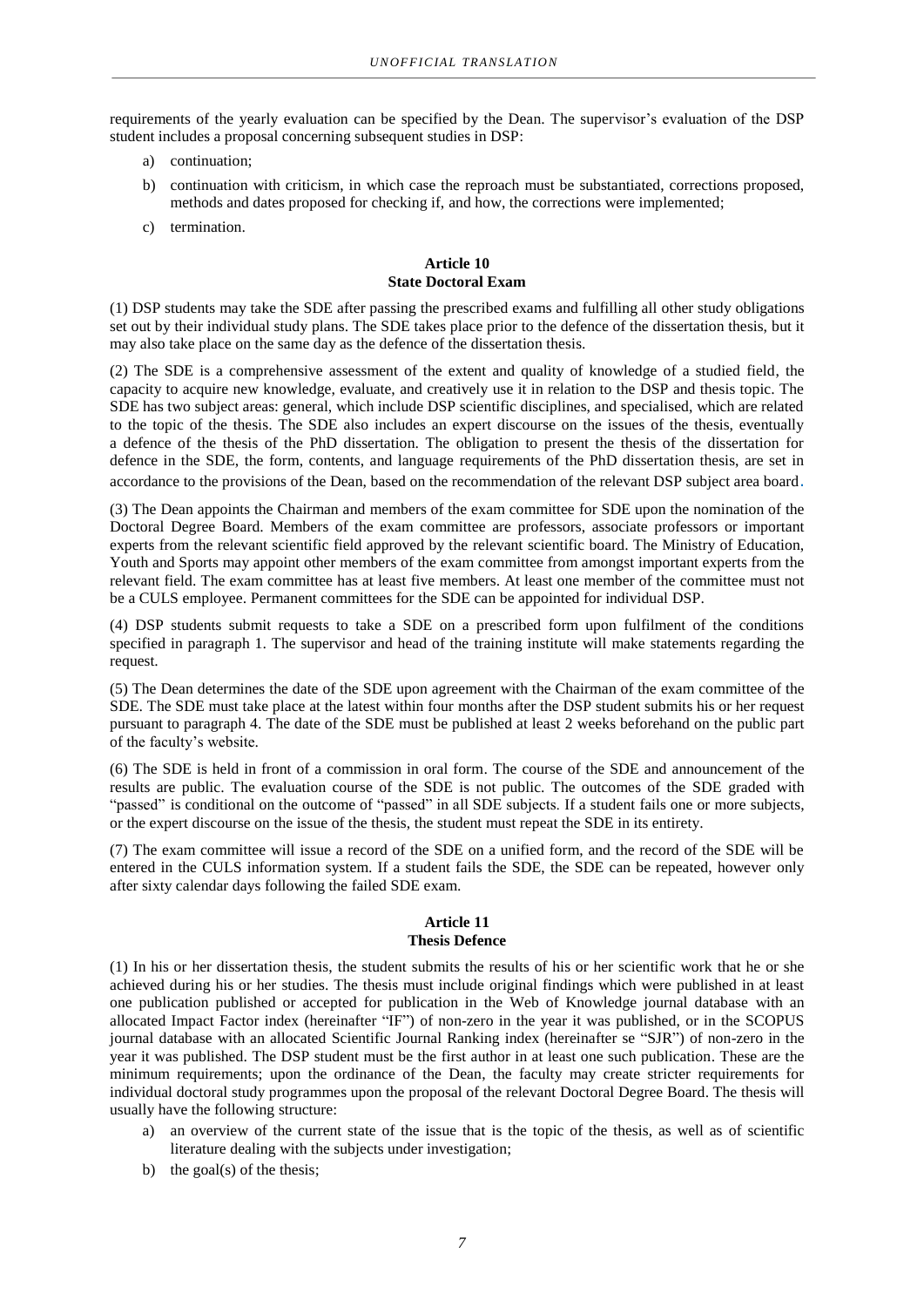requirements of the yearly evaluation can be specified by the Dean. The supervisor's evaluation of the DSP student includes a proposal concerning subsequent studies in DSP:

- a) continuation;
- b) continuation with criticism, in which case the reproach must be substantiated, corrections proposed, methods and dates proposed for checking if, and how, the corrections were implemented;
- c) termination.

## **Article 10 State Doctoral Exam**

(1) DSP students may take the SDE after passing the prescribed exams and fulfilling all other study obligations set out by their individual study plans. The SDE takes place prior to the defence of the dissertation thesis, but it may also take place on the same day as the defence of the dissertation thesis.

(2) The SDE is a comprehensive assessment of the extent and quality of knowledge of a studied field, the capacity to acquire new knowledge, evaluate, and creatively use it in relation to the DSP and thesis topic. The SDE has two subject areas: general, which include DSP scientific disciplines, and specialised, which are related to the topic of the thesis. The SDE also includes an expert discourse on the issues of the thesis, eventually a defence of the thesis of the PhD dissertation. The obligation to present the thesis of the dissertation for defence in the SDE, the form, contents, and language requirements of the PhD dissertation thesis, are set in accordance to the provisions of the Dean, based on the recommendation of the relevant DSP subject area board.

(3) The Dean appoints the Chairman and members of the exam committee for SDE upon the nomination of the Doctoral Degree Board. Members of the exam committee are professors, associate professors or important experts from the relevant scientific field approved by the relevant scientific board. The Ministry of Education, Youth and Sports may appoint other members of the exam committee from amongst important experts from the relevant field. The exam committee has at least five members. At least one member of the committee must not be a CULS employee. Permanent committees for the SDE can be appointed for individual DSP.

(4) DSP students submit requests to take a SDE on a prescribed form upon fulfilment of the conditions specified in paragraph 1. The supervisor and head of the training institute will make statements regarding the request.

(5) The Dean determines the date of the SDE upon agreement with the Chairman of the exam committee of the SDE. The SDE must take place at the latest within four months after the DSP student submits his or her request pursuant to paragraph 4. The date of the SDE must be published at least 2 weeks beforehand on the public part of the faculty's website.

(6) The SDE is held in front of a commission in oral form. The course of the SDE and announcement of the results are public. The evaluation course of the SDE is not public. The outcomes of the SDE graded with "passed" is conditional on the outcome of "passed" in all SDE subjects. If a student fails one or more subjects, or the expert discourse on the issue of the thesis, the student must repeat the SDE in its entirety.

(7) The exam committee will issue a record of the SDE on a unified form, and the record of the SDE will be entered in the CULS information system. If a student fails the SDE, the SDE can be repeated, however only after sixty calendar days following the failed SDE exam.

#### **Article 11 Thesis Defence**

(1) In his or her dissertation thesis, the student submits the results of his or her scientific work that he or she achieved during his or her studies. The thesis must include original findings which were published in at least one publication published or accepted for publication in the Web of Knowledge journal database with an allocated Impact Factor index (hereinafter "IF") of non-zero in the year it was published, or in the SCOPUS journal database with an allocated Scientific Journal Ranking index (hereinafter se "SJR") of non-zero in the year it was published. The DSP student must be the first author in at least one such publication. These are the minimum requirements; upon the ordinance of the Dean, the faculty may create stricter requirements for individual doctoral study programmes upon the proposal of the relevant Doctoral Degree Board. The thesis will usually have the following structure:

- a) an overview of the current state of the issue that is the topic of the thesis, as well as of scientific literature dealing with the subjects under investigation;
- b) the goal(s) of the thesis: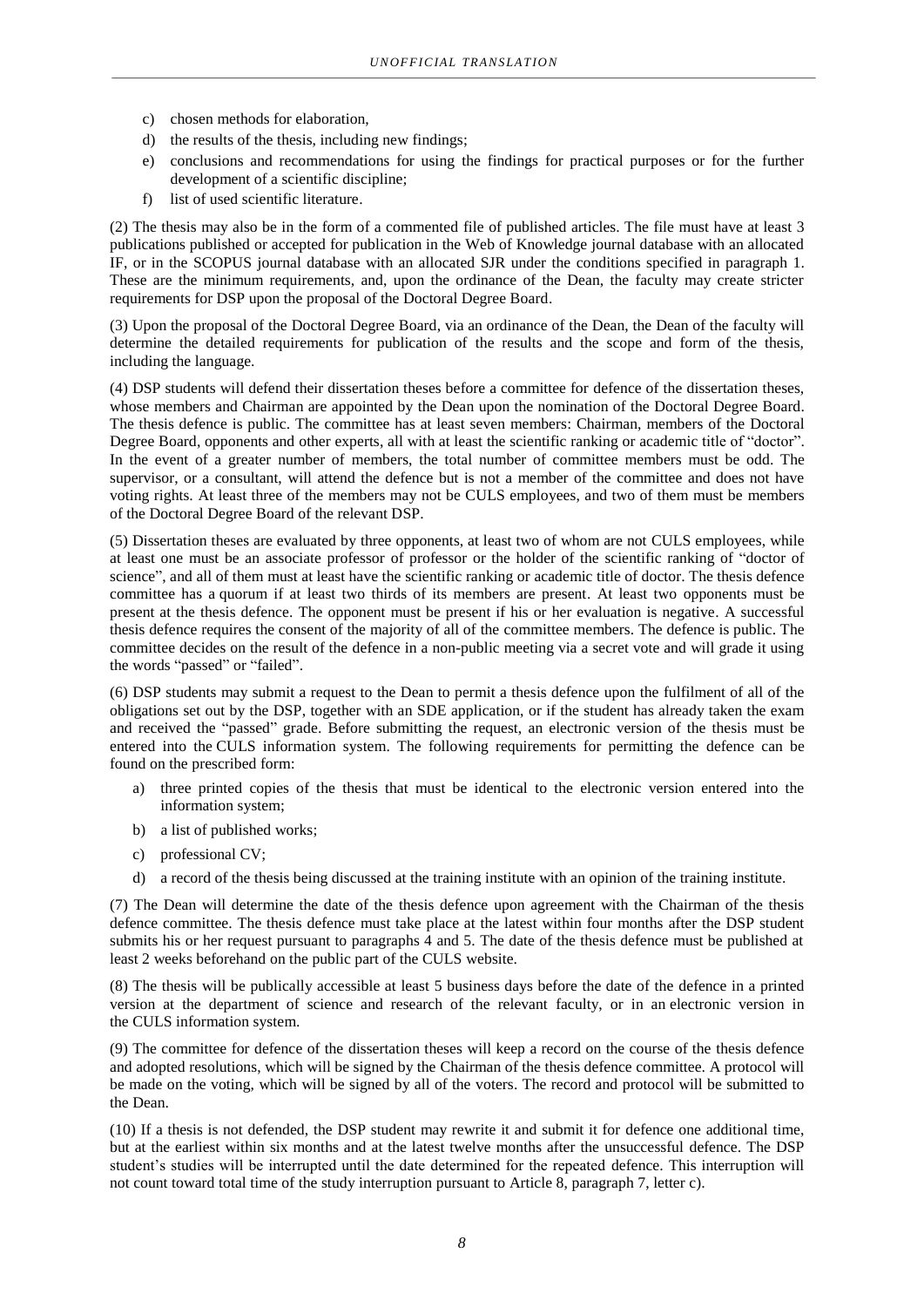- c) chosen methods for elaboration,
- d) the results of the thesis, including new findings;
- e) conclusions and recommendations for using the findings for practical purposes or for the further development of a scientific discipline;
- f) list of used scientific literature.

(2) The thesis may also be in the form of a commented file of published articles. The file must have at least 3 publications published or accepted for publication in the Web of Knowledge journal database with an allocated IF, or in the SCOPUS journal database with an allocated SJR under the conditions specified in paragraph 1. These are the minimum requirements, and, upon the ordinance of the Dean, the faculty may create stricter requirements for DSP upon the proposal of the Doctoral Degree Board.

(3) Upon the proposal of the Doctoral Degree Board, via an ordinance of the Dean, the Dean of the faculty will determine the detailed requirements for publication of the results and the scope and form of the thesis, including the language.

(4) DSP students will defend their dissertation theses before a committee for defence of the dissertation theses, whose members and Chairman are appointed by the Dean upon the nomination of the Doctoral Degree Board. The thesis defence is public. The committee has at least seven members: Chairman, members of the Doctoral Degree Board, opponents and other experts, all with at least the scientific ranking or academic title of "doctor". In the event of a greater number of members, the total number of committee members must be odd. The supervisor, or a consultant, will attend the defence but is not a member of the committee and does not have voting rights. At least three of the members may not be CULS employees, and two of them must be members of the Doctoral Degree Board of the relevant DSP.

(5) Dissertation theses are evaluated by three opponents, at least two of whom are not CULS employees, while at least one must be an associate professor of professor or the holder of the scientific ranking of "doctor of science", and all of them must at least have the scientific ranking or academic title of doctor. The thesis defence committee has a quorum if at least two thirds of its members are present. At least two opponents must be present at the thesis defence. The opponent must be present if his or her evaluation is negative. A successful thesis defence requires the consent of the majority of all of the committee members. The defence is public. The committee decides on the result of the defence in a non-public meeting via a secret vote and will grade it using the words "passed" or "failed".

(6) DSP students may submit a request to the Dean to permit a thesis defence upon the fulfilment of all of the obligations set out by the DSP, together with an SDE application, or if the student has already taken the exam and received the "passed" grade. Before submitting the request, an electronic version of the thesis must be entered into the CULS information system. The following requirements for permitting the defence can be found on the prescribed form:

- a) three printed copies of the thesis that must be identical to the electronic version entered into the information system;
- b) a list of published works;
- c) professional CV;
- d) a record of the thesis being discussed at the training institute with an opinion of the training institute.

(7) The Dean will determine the date of the thesis defence upon agreement with the Chairman of the thesis defence committee. The thesis defence must take place at the latest within four months after the DSP student submits his or her request pursuant to paragraphs 4 and 5. The date of the thesis defence must be published at least 2 weeks beforehand on the public part of the CULS website.

(8) The thesis will be publically accessible at least 5 business days before the date of the defence in a printed version at the department of science and research of the relevant faculty, or in an electronic version in the CULS information system.

(9) The committee for defence of the dissertation theses will keep a record on the course of the thesis defence and adopted resolutions, which will be signed by the Chairman of the thesis defence committee. A protocol will be made on the voting, which will be signed by all of the voters. The record and protocol will be submitted to the Dean.

(10) If a thesis is not defended, the DSP student may rewrite it and submit it for defence one additional time, but at the earliest within six months and at the latest twelve months after the unsuccessful defence. The DSP student's studies will be interrupted until the date determined for the repeated defence. This interruption will not count toward total time of the study interruption pursuant to Article 8, paragraph 7, letter c).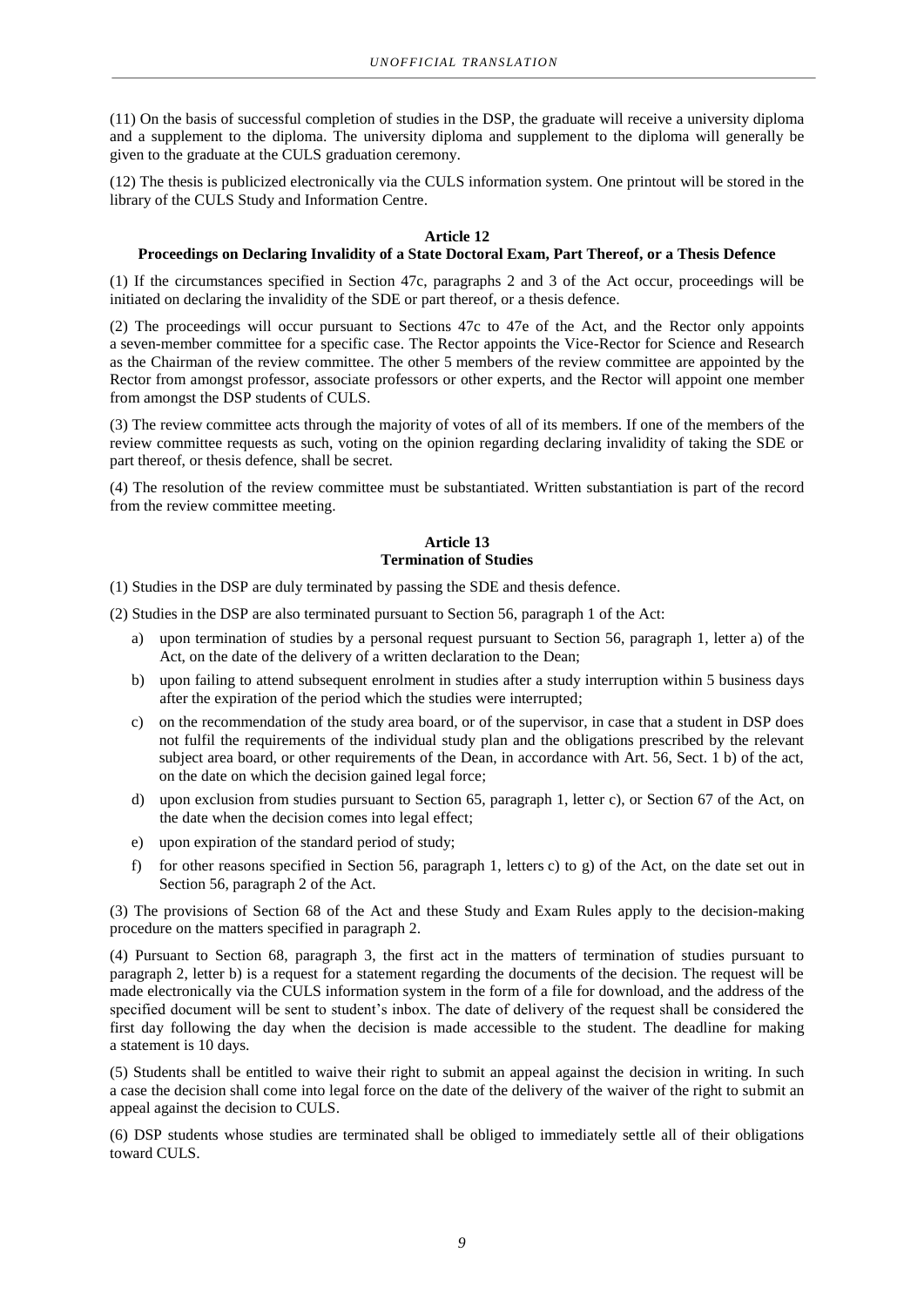(11) On the basis of successful completion of studies in the DSP, the graduate will receive a university diploma and a supplement to the diploma. The university diploma and supplement to the diploma will generally be given to the graduate at the CULS graduation ceremony.

(12) The thesis is publicized electronically via the CULS information system. One printout will be stored in the library of the CULS Study and Information Centre.

#### **Article 12**

#### **Proceedings on Declaring Invalidity of a State Doctoral Exam, Part Thereof, or a Thesis Defence**

(1) If the circumstances specified in Section 47c, paragraphs 2 and 3 of the Act occur, proceedings will be initiated on declaring the invalidity of the SDE or part thereof, or a thesis defence.

(2) The proceedings will occur pursuant to Sections 47c to 47e of the Act, and the Rector only appoints a seven-member committee for a specific case. The Rector appoints the Vice-Rector for Science and Research as the Chairman of the review committee. The other 5 members of the review committee are appointed by the Rector from amongst professor, associate professors or other experts, and the Rector will appoint one member from amongst the DSP students of CULS.

(3) The review committee acts through the majority of votes of all of its members. If one of the members of the review committee requests as such, voting on the opinion regarding declaring invalidity of taking the SDE or part thereof, or thesis defence, shall be secret.

(4) The resolution of the review committee must be substantiated. Written substantiation is part of the record from the review committee meeting.

#### **Article 13 Termination of Studies**

(1) Studies in the DSP are duly terminated by passing the SDE and thesis defence.

(2) Studies in the DSP are also terminated pursuant to Section 56, paragraph 1 of the Act:

- a) upon termination of studies by a personal request pursuant to Section 56, paragraph 1, letter a) of the Act, on the date of the delivery of a written declaration to the Dean;
- b) upon failing to attend subsequent enrolment in studies after a study interruption within 5 business days after the expiration of the period which the studies were interrupted;
- c) on the recommendation of the study area board, or of the supervisor, in case that a student in DSP does not fulfil the requirements of the individual study plan and the obligations prescribed by the relevant subject area board, or other requirements of the Dean, in accordance with Art. 56, Sect. 1 b) of the act, on the date on which the decision gained legal force;
- d) upon exclusion from studies pursuant to Section 65, paragraph 1, letter c), or Section 67 of the Act, on the date when the decision comes into legal effect;
- e) upon expiration of the standard period of study;
- f) for other reasons specified in Section 56, paragraph 1, letters c) to g) of the Act, on the date set out in Section 56, paragraph 2 of the Act.

(3) The provisions of Section 68 of the Act and these Study and Exam Rules apply to the decision-making procedure on the matters specified in paragraph 2.

(4) Pursuant to Section 68, paragraph 3, the first act in the matters of termination of studies pursuant to paragraph 2, letter b) is a request for a statement regarding the documents of the decision. The request will be made electronically via the CULS information system in the form of a file for download, and the address of the specified document will be sent to student's inbox. The date of delivery of the request shall be considered the first day following the day when the decision is made accessible to the student. The deadline for making a statement is 10 days.

(5) Students shall be entitled to waive their right to submit an appeal against the decision in writing. In such a case the decision shall come into legal force on the date of the delivery of the waiver of the right to submit an appeal against the decision to CULS.

(6) DSP students whose studies are terminated shall be obliged to immediately settle all of their obligations toward CULS.